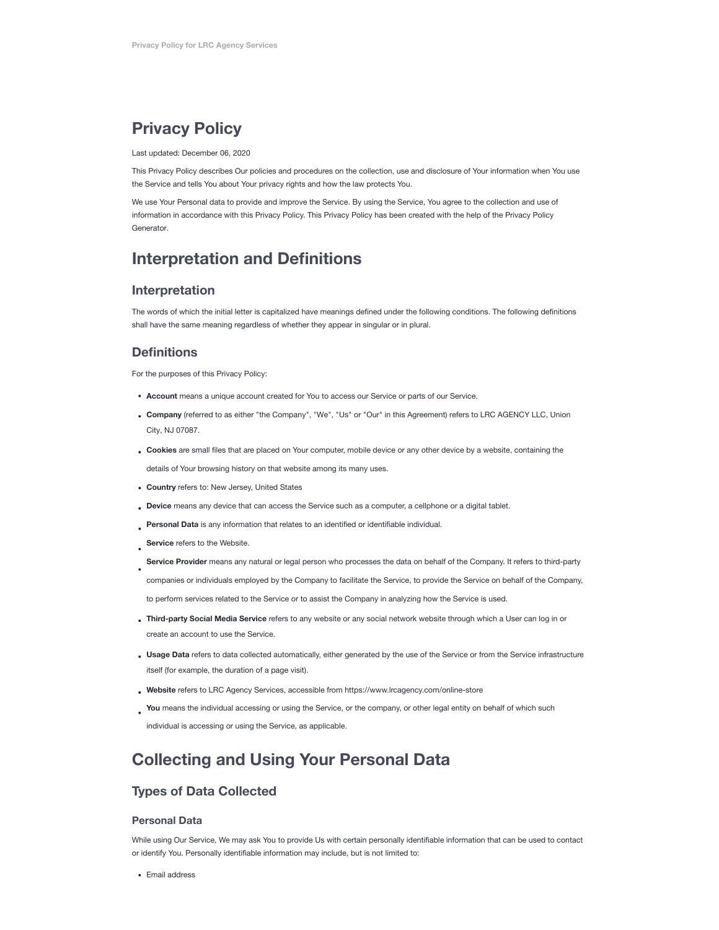# **Privacy Policy**

#### Last updated: December 06, 2020

This Privacy Policy describes Our policies and procedures on the collection, use and disclosure of Your information when You use the Service and tells You about Your privacy rights and how the law protects You.

We use Your Personal data to provide and improve the Service. By using the Service, You agree to the collection and use of [information in accordance with this Privacy Policy. This Privacy Policy has been created with the help of the Privacy Policy](https://www.privacypolicies.com/privacy-policy-generator/) Generator.

# **Interpretation and Definitions**

### **Interpretation**

The words of which the initial letter is capitalized have meanings defined under the following conditions. The following definitions shall have the same meaning regardless of whether they appear in singular or in plural.

### **Definitions**

For the purposes of this Privacy Policy:

- **Account** means a unique account created for You to access our Service or parts of our Service.
- **Company** (referred to as either "the Company", "We", "Us" or "Our" in this Agreement) refers to LRC AGENCY LLC, Union City, NJ 07087.
- **Cookies** are small files that are placed on Your computer, mobile device or any other device by a website, containing the details of Your browsing history on that website among its many uses.
- **Country** refers to: New Jersey, United States
- **Device** means any device that can access the Service such as a computer, a cellphone or a digital tablet.
- **Personal Data** is any information that relates to an identified or identifiable individual.
- **Service** refers to the Website.
- **Service Provider** means any natural or legal person who processes the data on behalf of the Company. It refers to third-party

companies or individuals employed by the Company to facilitate the Service, to provide the Service on behalf of the Company,

to perform services related to the Service or to assist the Company in analyzing how the Service is used.

- **Third-party Social Media Service** refers to any website or any social network website through which a User can log in or create an account to use the Service.
- **Usage Data** refers to data collected automatically, either generated by the use of the Service or from the Service infrastructure itself (for example, the duration of a page visit).
- **Website** refers to LRC Agency Services, accessible from <https://www.lrcagency.com/online-store>
- You means the individual accessing or using the Service, or the company, or other legal entity on behalf of which such individual is accessing or using the Service, as applicable.

# **Collecting and Using Your Personal Data**

## **Types of Data Collected**

### **Personal Data**

While using Our Service, We may ask You to provide Us with certain personally identifiable information that can be used to contact or identify You. Personally identifiable information may include, but is not limited to:

• Email address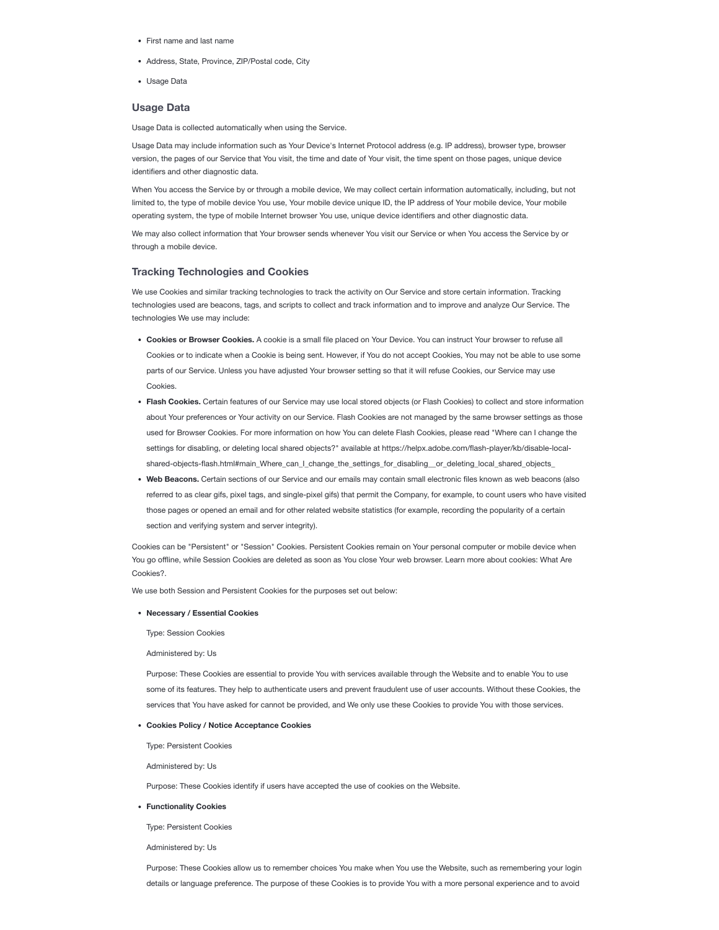- First name and last name
- Address, State, Province, ZIP/Postal code, City
- Usage Data

### **Usage Data**

Usage Data is collected automatically when using the Service.

Usage Data may include information such as Your Device's Internet Protocol address (e.g. IP address), browser type, browser version, the pages of our Service that You visit, the time and date of Your visit, the time spent on those pages, unique device identifiers and other diagnostic data.

When You access the Service by or through a mobile device, We may collect certain information automatically, including, but not limited to, the type of mobile device You use, Your mobile device unique ID, the IP address of Your mobile device, Your mobile operating system, the type of mobile Internet browser You use, unique device identifiers and other diagnostic data.

We may also collect information that Your browser sends whenever You visit our Service or when You access the Service by or through a mobile device.

#### **Tracking Technologies and Cookies**

We use Cookies and similar tracking technologies to track the activity on Our Service and store certain information. Tracking technologies used are beacons, tags, and scripts to collect and track information and to improve and analyze Our Service. The technologies We use may include:

- **Cookies or Browser Cookies.** A cookie is a small file placed on Your Device. You can instruct Your browser to refuse all Cookies or to indicate when a Cookie is being sent. However, if You do not accept Cookies, You may not be able to use some parts of our Service. Unless you have adjusted Your browser setting so that it will refuse Cookies, our Service may use Cookies.
- **Flash Cookies.** Certain features of our Service may use local stored objects (or Flash Cookies) to collect and store information about Your preferences or Your activity on our Service. Flash Cookies are not managed by the same browser settings as those used for Browser Cookies. For more information on how You can delete Flash Cookies, please read "Where can I change the settings for disabling, or deleting local shared objects?" available at https://helpx.adobe.com/flash-player/kb/disable-local[shared-objects-flash.html#main\\_Where\\_can\\_I\\_change\\_the\\_settings\\_for\\_disabling\\_\\_or\\_deleting\\_local\\_shared\\_objects\\_](https://helpx.adobe.com/flash-player/kb/disable-local-shared-objects-flash.html#main_Where_can_I_change_the_settings_for_disabling__or_deleting_local_shared_objects_)
- **Web Beacons.** Certain sections of our Service and our emails may contain small electronic files known as web beacons (also referred to as clear gifs, pixel tags, and single-pixel gifs) that permit the Company, for example, to count users who have visited those pages or opened an email and for other related website statistics (for example, recording the popularity of a certain section and verifying system and server integrity).

Cookies can be "Persistent" or "Session" Cookies. Persistent Cookies remain on Your personal computer or mobile device when You go offline, while Session [Cookies are](https://www.privacypolicies.com/blog/cookies/) deleted as soon as You close Your web browser. Learn more about cookies: What Are Cookies?.

We use both Session and Persistent Cookies for the purposes set out below:

#### **Necessary / Essential Cookies**

Type: Session Cookies

Administered by: Us

Purpose: These Cookies are essential to provide You with services available through the Website and to enable You to use some of its features. They help to authenticate users and prevent fraudulent use of user accounts. Without these Cookies, the services that You have asked for cannot be provided, and We only use these Cookies to provide You with those services.

#### **Cookies Policy / Notice Acceptance Cookies**

Type: Persistent Cookies

Administered by: Us

Purpose: These Cookies identify if users have accepted the use of cookies on the Website.

**Functionality Cookies**

Type: Persistent Cookies

Administered by: Us

Purpose: These Cookies allow us to remember choices You make when You use the Website, such as remembering your login details or language preference. The purpose of these Cookies is to provide You with a more personal experience and to avoid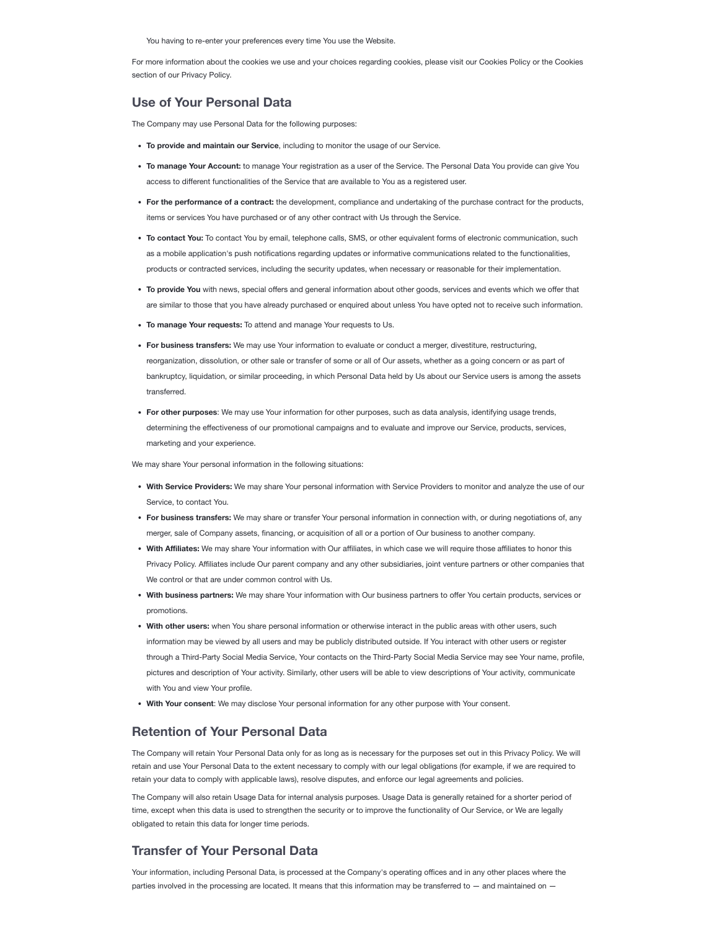You having to re-enter your preferences every time You use the Website.

For more information about the cookies we use and your choices regarding cookies, please visit our Cookies Policy or the Cookies section of our Privacy Policy.

## **Use of Your Personal Data**

The Company may use Personal Data for the following purposes:

- **To provide and maintain our Service**, including to monitor the usage of our Service.
- **To manage Your Account:** to manage Your registration as a user of the Service. The Personal Data You provide can give You access to different functionalities of the Service that are available to You as a registered user.
- **For the performance of a contract:** the development, compliance and undertaking of the purchase contract for the products, items or services You have purchased or of any other contract with Us through the Service.
- **To contact You:** To contact You by email, telephone calls, SMS, or other equivalent forms of electronic communication, such as a mobile application's push notifications regarding updates or informative communications related to the functionalities, products or contracted services, including the security updates, when necessary or reasonable for their implementation.
- **To provide You** with news, special offers and general information about other goods, services and events which we offer that are similar to those that you have already purchased or enquired about unless You have opted not to receive such information.
- **To manage Your requests:** To attend and manage Your requests to Us.
- **For business transfers:** We may use Your information to evaluate or conduct a merger, divestiture, restructuring, reorganization, dissolution, or other sale or transfer of some or all of Our assets, whether as a going concern or as part of bankruptcy, liquidation, or similar proceeding, in which Personal Data held by Us about our Service users is among the assets transferred.
- **For other purposes**: We may use Your information for other purposes, such as data analysis, identifying usage trends, determining the effectiveness of our promotional campaigns and to evaluate and improve our Service, products, services, marketing and your experience.

We may share Your personal information in the following situations:

- **With Service Providers:** We may share Your personal information with Service Providers to monitor and analyze the use of our Service, to contact You.
- **For business transfers:** We may share or transfer Your personal information in connection with, or during negotiations of, any merger, sale of Company assets, financing, or acquisition of all or a portion of Our business to another company.
- **With Affiliates:** We may share Your information with Our affiliates, in which case we will require those affiliates to honor this Privacy Policy. Affiliates include Our parent company and any other subsidiaries, joint venture partners or other companies that We control or that are under common control with Us.
- **With business partners:** We may share Your information with Our business partners to offer You certain products, services or promotions.
- **With other users:** when You share personal information or otherwise interact in the public areas with other users, such information may be viewed by all users and may be publicly distributed outside. If You interact with other users or register through a Third-Party Social Media Service, Your contacts on the Third-Party Social Media Service may see Your name, profile, pictures and description of Your activity. Similarly, other users will be able to view descriptions of Your activity, communicate with You and view Your profile.
- **With Your consent**: We may disclose Your personal information for any other purpose with Your consent.

### **Retention of Your Personal Data**

The Company will retain Your Personal Data only for as long as is necessary for the purposes set out in this Privacy Policy. We will retain and use Your Personal Data to the extent necessary to comply with our legal obligations (for example, if we are required to retain your data to comply with applicable laws), resolve disputes, and enforce our legal agreements and policies.

The Company will also retain Usage Data for internal analysis purposes. Usage Data is generally retained for a shorter period of time, except when this data is used to strengthen the security or to improve the functionality of Our Service, or We are legally obligated to retain this data for longer time periods.

### **Transfer of Your Personal Data**

Your information, including Personal Data, is processed at the Company's operating offices and in any other places where the parties involved in the processing are located. It means that this information may be transferred to - and maintained on -